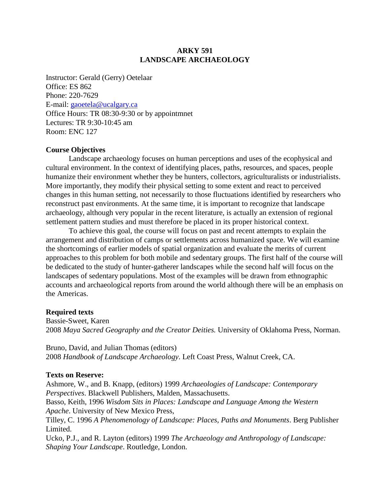# **ARKY 591 LANDSCAPE ARCHAEOLOGY**

Instructor: Gerald (Gerry) Oetelaar Office: ES 862 Phone: 220-7629 E-mail: gaoetela@ucalgary.ca Office Hours: TR 08:30-9:30 or by appointmnet Lectures: TR 9:30-10:45 am Room: ENC 127

### **Course Objectives**

Landscape archaeology focuses on human perceptions and uses of the ecophysical and cultural environment. In the context of identifying places, paths, resources, and spaces, people humanize their environment whether they be hunters, collectors, agriculturalists or industrialists. More importantly, they modify their physical setting to some extent and react to perceived changes in this human setting, not necessarily to those fluctuations identified by researchers who reconstruct past environments. At the same time, it is important to recognize that landscape archaeology, although very popular in the recent literature, is actually an extension of regional settlement pattern studies and must therefore be placed in its proper historical context.

To achieve this goal, the course will focus on past and recent attempts to explain the arrangement and distribution of camps or settlements across humanized space. We will examine the shortcomings of earlier models of spatial organization and evaluate the merits of current approaches to this problem for both mobile and sedentary groups. The first half of the course will be dedicated to the study of hunter-gatherer landscapes while the second half will focus on the landscapes of sedentary populations. Most of the examples will be drawn from ethnographic accounts and archaeological reports from around the world although there will be an emphasis on the Americas.

## **Required texts**

Bassie-Sweet, Karen 2008 *Maya Sacred Geography and the Creator Deities.* University of Oklahoma Press, Norman.

Bruno, David, and Julian Thomas (editors) 2008 *Handbook of Landscape Archaeology*. Left Coast Press, Walnut Creek, CA.

#### **Texts on Reserve:**

Ashmore, W., and B. Knapp, (editors) 1999 *Archaeologies of Landscape: Contemporary Perspectives*. Blackwell Publishers, Malden, Massachusetts.

Basso, Keith, 1996 *Wisdom Sits in Places: Landscape and Language Among the Western Apache*. University of New Mexico Press,

Tilley, C. 1996 *A Phenomenology of Landscape: Places, Paths and Monuments*. Berg Publisher Limited.

Ucko, P.J., and R. Layton (editors) 1999 *The Archaeology and Anthropology of Landscape: Shaping Your Landscape*. Routledge, London.